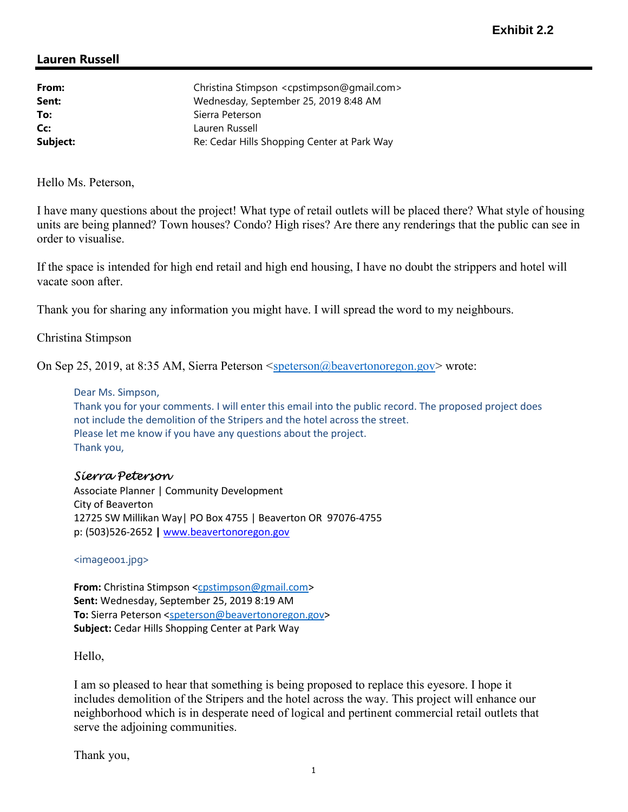## Lauren Russell

| From:    | Christina Stimpson <cpstimpson@gmail.com></cpstimpson@gmail.com> |
|----------|------------------------------------------------------------------|
| Sent:    | Wednesday, September 25, 2019 8:48 AM                            |
| To:      | Sierra Peterson                                                  |
| Cc:      | Lauren Russell                                                   |
| Subject: | Re: Cedar Hills Shopping Center at Park Way                      |

Hello Ms. Peterson,

I have many questions about the project! What type of retail outlets will be placed there? What style of housing units are being planned? Town houses? Condo? High rises? Are there any renderings that the public can see in order to visualise.

If the space is intended for high end retail and high end housing, I have no doubt the strippers and hotel will vacate soon after.

Thank you for sharing any information you might have. I will spread the word to my neighbours.

Christina Stimpson

On Sep 25, 2019, at 8:35 AM, Sierra Peterson <speterson@beavertonoregon.gov> wrote:

## Dear Ms. Simpson,

Thank you for your comments. I will enter this email into the public record. The proposed project does not include the demolition of the Stripers and the hotel across the street. Please let me know if you have any questions about the project. Thank you,

## Sierra Peterson

Associate Planner | Community Development City of Beaverton 12725 SW Millikan Way| PO Box 4755 | Beaverton OR 97076-4755 p: (503)526-2652 | www.beavertonoregon.gov

<image001.jpg>

From: Christina Stimpson <cpstimpson@gmail.com> Sent: Wednesday, September 25, 2019 8:19 AM To: Sierra Peterson <speterson@beavertonoregon.gov> Subject: Cedar Hills Shopping Center at Park Way

Hello,

I am so pleased to hear that something is being proposed to replace this eyesore. I hope it includes demolition of the Stripers and the hotel across the way. This project will enhance our neighborhood which is in desperate need of logical and pertinent commercial retail outlets that serve the adjoining communities.

Thank you,